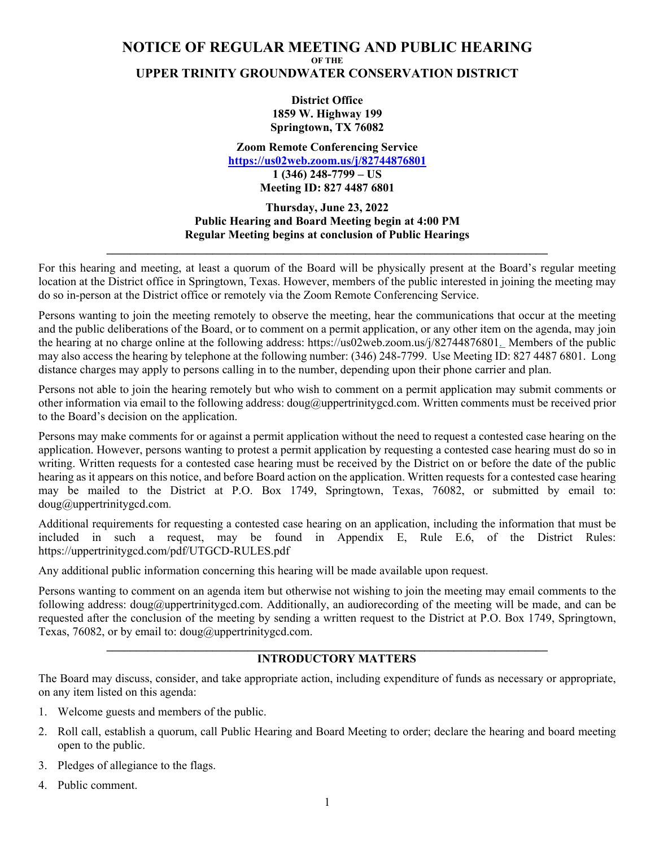## **NOTICE OF REGULAR MEETING AND PUBLIC HEARING OF THE UPPER TRINITY GROUNDWATER CONSERVATION DISTRICT**

**District Office 1859 W. Highway 199 Springtown, TX 76082**

**Zoom Remote Conferencing Service https://us02web.zoom.us/j/82744876801 1 (346) 248-7799 – US Meeting ID: 827 4487 6801** 

**Thursday, June 23, 2022 Public Hearing and Board Meeting begin at 4:00 PM Regular Meeting begins at conclusion of Public Hearings** 

**\_\_\_\_\_\_\_\_\_\_\_\_\_\_\_\_\_\_\_\_\_\_\_\_\_\_\_\_\_\_\_\_\_\_\_\_\_\_\_\_\_\_\_\_\_\_\_\_\_\_\_\_\_\_\_\_\_\_\_\_\_\_\_\_\_\_\_\_\_\_\_\_\_\_\_**

For this hearing and meeting, at least a quorum of the Board will be physically present at the Board's regular meeting location at the District office in Springtown, Texas. However, members of the public interested in joining the meeting may do so in-person at the District office or remotely via the Zoom Remote Conferencing Service.

Persons wanting to join the meeting remotely to observe the meeting, hear the communications that occur at the meeting and the public deliberations of the Board, or to comment on a permit application, or any other item on the agenda, may join the hearing at no charge online at the following address: https://us02web.zoom.us/j/82744876801. Members of the public may also access the hearing by telephone at the following number: (346) 248-7799. Use Meeting ID: 827 4487 6801. Long distance charges may apply to persons calling in to the number, depending upon their phone carrier and plan.

Persons not able to join the hearing remotely but who wish to comment on a permit application may submit comments or other information via email to the following address: doug@uppertrinitygcd.com. Written comments must be received prior to the Board's decision on the application.

Persons may make comments for or against a permit application without the need to request a contested case hearing on the application. However, persons wanting to protest a permit application by requesting a contested case hearing must do so in writing. Written requests for a contested case hearing must be received by the District on or before the date of the public hearing as it appears on this notice, and before Board action on the application. Written requests for a contested case hearing may be mailed to the District at P.O. Box 1749, Springtown, Texas, 76082, or submitted by email to: doug@uppertrinitygcd.com.

Additional requirements for requesting a contested case hearing on an application, including the information that must be included in such a request, may be found in Appendix E, Rule E.6, of the District Rules: https://uppertrinitygcd.com/pdf/UTGCD-RULES.pdf

Any additional public information concerning this hearing will be made available upon request.

Persons wanting to comment on an agenda item but otherwise not wishing to join the meeting may email comments to the following address: doug@uppertrinitygcd.com. Additionally, an audiorecording of the meeting will be made, and can be requested after the conclusion of the meeting by sending a written request to the District at P.O. Box 1749, Springtown, Texas, 76082, or by email to: doug@uppertrinitygcd.com.

**\_\_\_\_\_\_\_\_\_\_\_\_\_\_\_\_\_\_\_\_\_\_\_\_\_\_\_\_\_\_\_\_\_\_\_\_\_\_\_\_\_\_\_\_\_\_\_\_\_\_\_\_\_\_\_\_\_\_\_\_\_\_\_\_\_\_\_\_\_\_\_\_\_\_\_** 

# **INTRODUCTORY MATTERS**

The Board may discuss, consider, and take appropriate action, including expenditure of funds as necessary or appropriate, on any item listed on this agenda:

- 1. Welcome guests and members of the public.
- 2. Roll call, establish a quorum, call Public Hearing and Board Meeting to order; declare the hearing and board meeting open to the public.
- 3. Pledges of allegiance to the flags.
- 4. Public comment.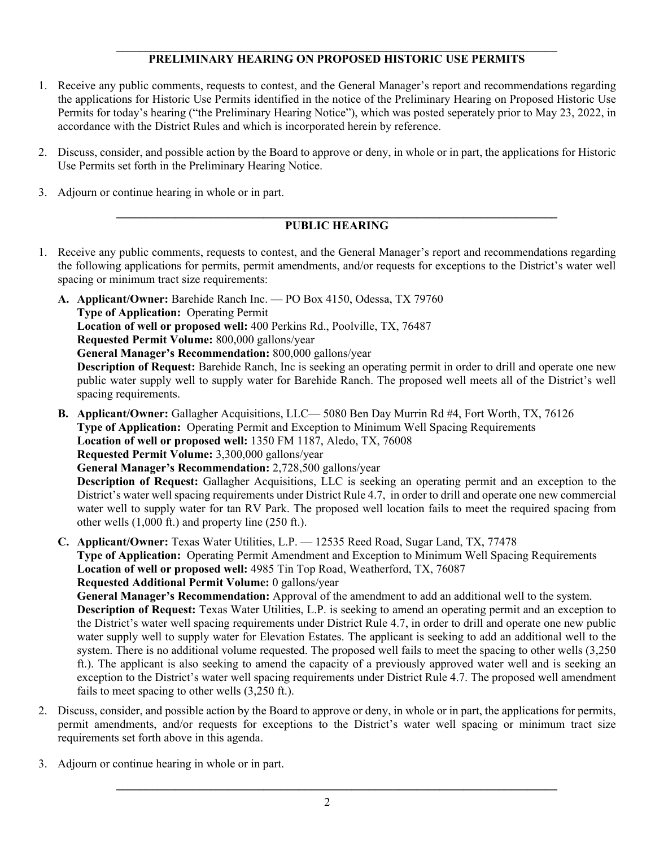## **\_\_\_\_\_\_\_\_\_\_\_\_\_\_\_\_\_\_\_\_\_\_\_\_\_\_\_\_\_\_\_\_\_\_\_\_\_\_\_\_\_\_\_\_\_\_\_\_\_\_\_\_\_\_\_\_\_\_\_\_\_\_\_\_\_\_\_\_\_\_\_\_\_\_\_ PRELIMINARY HEARING ON PROPOSED HISTORIC USE PERMITS**

- 1. Receive any public comments, requests to contest, and the General Manager's report and recommendations regarding the applications for Historic Use Permits identified in the notice of the Preliminary Hearing on Proposed Historic Use Permits for today's hearing ("the Preliminary Hearing Notice"), which was posted seperately prior to May 23, 2022, in accordance with the District Rules and which is incorporated herein by reference.
- 2. Discuss, consider, and possible action by the Board to approve or deny, in whole or in part, the applications for Historic Use Permits set forth in the Preliminary Hearing Notice.
- 3. Adjourn or continue hearing in whole or in part.

#### **\_\_\_\_\_\_\_\_\_\_\_\_\_\_\_\_\_\_\_\_\_\_\_\_\_\_\_\_\_\_\_\_\_\_\_\_\_\_\_\_\_\_\_\_\_\_\_\_\_\_\_\_\_\_\_\_\_\_\_\_\_\_\_\_\_\_\_\_\_\_\_\_\_\_\_ PUBLIC HEARING**

- 1. Receive any public comments, requests to contest, and the General Manager's report and recommendations regarding the following applications for permits, permit amendments, and/or requests for exceptions to the District's water well spacing or minimum tract size requirements:
	- **A. Applicant/Owner:** Barehide Ranch Inc. PO Box 4150, Odessa, TX 79760 **Type of Application:** Operating Permit **Location of well or proposed well:** 400 Perkins Rd., Poolville, TX, 76487 **Requested Permit Volume:** 800,000 gallons/year **General Manager's Recommendation:** 800,000 gallons/year **Description of Request:** Barehide Ranch, Inc is seeking an operating permit in order to drill and operate one new public water supply well to supply water for Barehide Ranch. The proposed well meets all of the District's well spacing requirements.
	- **B. Applicant/Owner:** Gallagher Acquisitions, LLC— 5080 Ben Day Murrin Rd #4, Fort Worth, TX, 76126 **Type of Application:** Operating Permit and Exception to Minimum Well Spacing Requirements **Location of well or proposed well:** 1350 FM 1187, Aledo, TX, 76008 **Requested Permit Volume:** 3,300,000 gallons/year **General Manager's Recommendation:** 2,728,500 gallons/year **Description of Request:** Gallagher Acquisitions, LLC is seeking an operating permit and an exception to the

District's water well spacing requirements under District Rule 4.7, in order to drill and operate one new commercial water well to supply water for tan RV Park. The proposed well location fails to meet the required spacing from other wells (1,000 ft.) and property line (250 ft.).

- **C. Applicant/Owner:** Texas Water Utilities, L.P. 12535 Reed Road, Sugar Land, TX, 77478 **Type of Application:** Operating Permit Amendment and Exception to Minimum Well Spacing Requirements **Location of well or proposed well:** 4985 Tin Top Road, Weatherford, TX, 76087 **Requested Additional Permit Volume:** 0 gallons/year **General Manager's Recommendation:** Approval of the amendment to add an additional well to the system. **Description of Request:** Texas Water Utilities, L.P. is seeking to amend an operating permit and an exception to the District's water well spacing requirements under District Rule 4.7, in order to drill and operate one new public water supply well to supply water for Elevation Estates. The applicant is seeking to add an additional well to the
	- system. There is no additional volume requested. The proposed well fails to meet the spacing to other wells (3,250) ft.). The applicant is also seeking to amend the capacity of a previously approved water well and is seeking an exception to the District's water well spacing requirements under District Rule 4.7. The proposed well amendment fails to meet spacing to other wells (3,250 ft.).
- 2. Discuss, consider, and possible action by the Board to approve or deny, in whole or in part, the applications for permits, permit amendments, and/or requests for exceptions to the District's water well spacing or minimum tract size requirements set forth above in this agenda.
- 3. Adjourn or continue hearing in whole or in part.

**\_\_\_\_\_\_\_\_\_\_\_\_\_\_\_\_\_\_\_\_\_\_\_\_\_\_\_\_\_\_\_\_\_\_\_\_\_\_\_\_\_\_\_\_\_\_\_\_\_\_\_\_\_\_\_\_\_\_\_\_\_\_\_\_\_\_\_\_\_\_\_\_\_\_\_**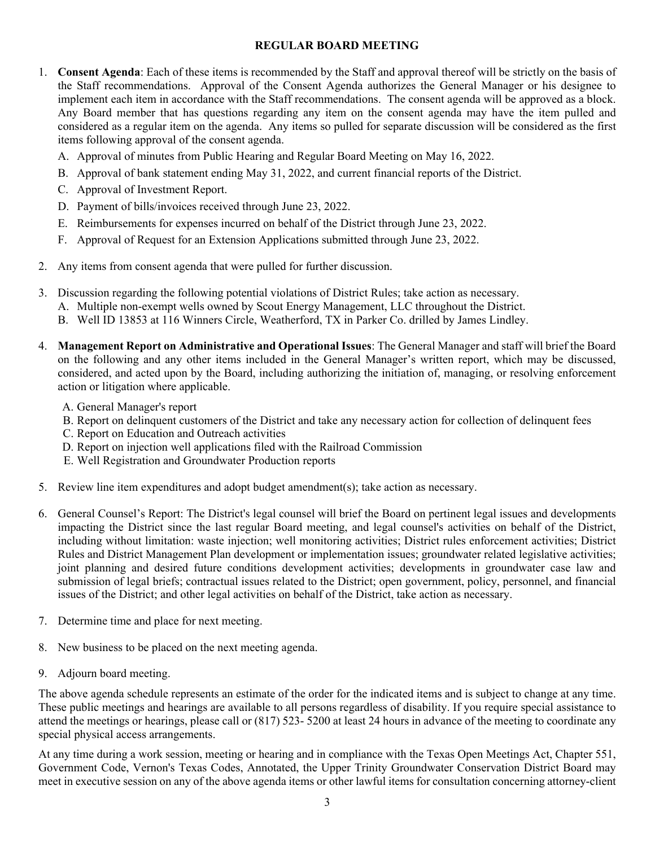## **REGULAR BOARD MEETING**

- 1. **Consent Agenda**: Each of these items is recommended by the Staff and approval thereof will be strictly on the basis of the Staff recommendations. Approval of the Consent Agenda authorizes the General Manager or his designee to implement each item in accordance with the Staff recommendations. The consent agenda will be approved as a block. Any Board member that has questions regarding any item on the consent agenda may have the item pulled and considered as a regular item on the agenda. Any items so pulled for separate discussion will be considered as the first items following approval of the consent agenda.
	- A. Approval of minutes from Public Hearing and Regular Board Meeting on May 16, 2022.
	- B. Approval of bank statement ending May 31, 2022, and current financial reports of the District.
	- C. Approval of Investment Report.
	- D. Payment of bills/invoices received through June 23, 2022.
	- E. Reimbursements for expenses incurred on behalf of the District through June 23, 2022.
	- F. Approval of Request for an Extension Applications submitted through June 23, 2022.
- 2. Any items from consent agenda that were pulled for further discussion.
- 3. Discussion regarding the following potential violations of District Rules; take action as necessary.
	- A. Multiple non-exempt wells owned by Scout Energy Management, LLC throughout the District.
	- B. Well ID 13853 at 116 Winners Circle, Weatherford, TX in Parker Co. drilled by James Lindley.
- 4. **Management Report on Administrative and Operational Issues**: The General Manager and staff will brief the Board on the following and any other items included in the General Manager's written report, which may be discussed, considered, and acted upon by the Board, including authorizing the initiation of, managing, or resolving enforcement action or litigation where applicable.
	- A. General Manager's report
	- B. Report on delinquent customers of the District and take any necessary action for collection of delinquent fees
	- C. Report on Education and Outreach activities
	- D. Report on injection well applications filed with the Railroad Commission
	- E. Well Registration and Groundwater Production reports
- 5. Review line item expenditures and adopt budget amendment(s); take action as necessary.
- 6. General Counsel's Report: The District's legal counsel will brief the Board on pertinent legal issues and developments impacting the District since the last regular Board meeting, and legal counsel's activities on behalf of the District, including without limitation: waste injection; well monitoring activities; District rules enforcement activities; District Rules and District Management Plan development or implementation issues; groundwater related legislative activities; joint planning and desired future conditions development activities; developments in groundwater case law and submission of legal briefs; contractual issues related to the District; open government, policy, personnel, and financial issues of the District; and other legal activities on behalf of the District, take action as necessary.
- 7. Determine time and place for next meeting.
- 8. New business to be placed on the next meeting agenda.
- 9. Adjourn board meeting.

The above agenda schedule represents an estimate of the order for the indicated items and is subject to change at any time. These public meetings and hearings are available to all persons regardless of disability. If you require special assistance to attend the meetings or hearings, please call or (817) 523- 5200 at least 24 hours in advance of the meeting to coordinate any special physical access arrangements.

At any time during a work session, meeting or hearing and in compliance with the Texas Open Meetings Act, Chapter 551, Government Code, Vernon's Texas Codes, Annotated, the Upper Trinity Groundwater Conservation District Board may meet in executive session on any of the above agenda items or other lawful items for consultation concerning attorney-client